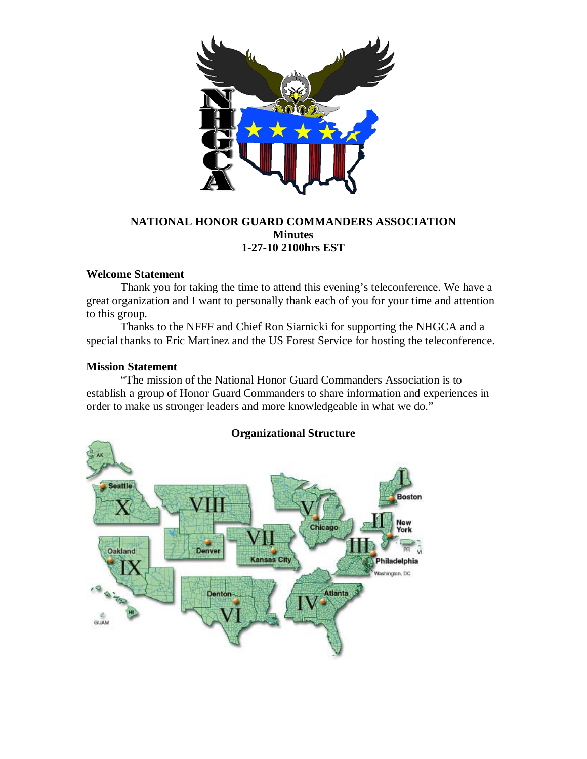

# **NATIONAL HONOR GUARD COMMANDERS ASSOCIATION Minutes 1-27-10 2100hrs EST**

# **Welcome Statement**

Thank you for taking the time to attend this evening's teleconference. We have a great organization and I want to personally thank each of you for your time and attention to this group.

Thanks to the NFFF and Chief Ron Siarnicki for supporting the NHGCA and a special thanks to Eric Martinez and the US Forest Service for hosting the teleconference.

# **Mission Statement**

"The mission of the National Honor Guard Commanders Association is to establish a group of Honor Guard Commanders to share information and experiences in order to make us stronger leaders and more knowledgeable in what we do."



# **Organizational Structure**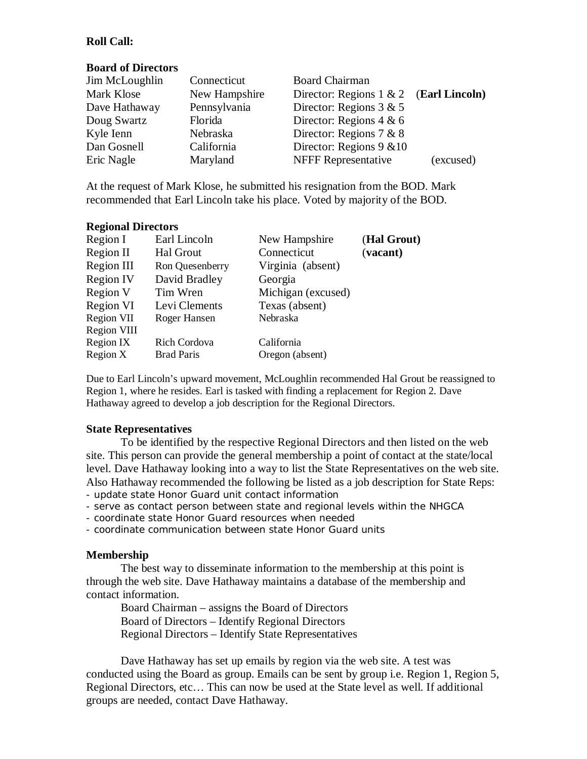# **Roll Call:**

## **Board of Directors**

| Jim McLoughlin | Connecticut   | <b>Board Chairman</b>                     |           |
|----------------|---------------|-------------------------------------------|-----------|
| Mark Klose     | New Hampshire | Director: Regions $1 \& 2$ (Earl Lincoln) |           |
| Dave Hathaway  | Pennsylvania  | Director: Regions $3 & 5$                 |           |
| Doug Swartz    | Florida       | Director: Regions $4 & 6$                 |           |
| Kyle Ienn      | Nebraska      | Director: Regions $7 & 8$                 |           |
| Dan Gosnell    | California    | Director: Regions $9 \& 10$               |           |
| Eric Nagle     | Maryland      | <b>NFFF Representative</b>                | (excused) |

At the request of Mark Klose, he submitted his resignation from the BOD. Mark recommended that Earl Lincoln take his place. Voted by majority of the BOD.

## **Regional Directors**

| Region I         | Earl Lincoln      | New Hampshire      | (Hal Grout) |
|------------------|-------------------|--------------------|-------------|
| Region II        | Hal Grout         | Connecticut        | (vacant)    |
| Region III       | Ron Quesenberry   | Virginia (absent)  |             |
| <b>Region IV</b> | David Bradley     | Georgia            |             |
| Region V         | Tim Wren          | Michigan (excused) |             |
| Region VI        | Levi Clements     | Texas (absent)     |             |
| Region VII       | Roger Hansen      | Nebraska           |             |
| Region VIII      |                   |                    |             |
| Region IX        | Rich Cordova      | California         |             |
| Region $X$       | <b>Brad Paris</b> | Oregon (absent)    |             |

Due to Earl Lincoln's upward movement, McLoughlin recommended Hal Grout be reassigned to Region 1, where he resides. Earl is tasked with finding a replacement for Region 2. Dave Hathaway agreed to develop a job description for the Regional Directors.

## **State Representatives**

To be identified by the respective Regional Directors and then listed on the web site. This person can provide the general membership a point of contact at the state/local level. Dave Hathaway looking into a way to list the State Representatives on the web site. Also Hathaway recommended the following be listed as a job description for State Reps: - update state Honor Guard unit contact information

- serve as contact person between state and regional levels within the NHGCA

- coordinate state Honor Guard resources when needed

- coordinate communication between state Honor Guard units

## **Membership**

The best way to disseminate information to the membership at this point is through the web site. Dave Hathaway maintains a database of the membership and contact information.

Board Chairman – assigns the Board of Directors Board of Directors – Identify Regional Directors Regional Directors – Identify State Representatives

Dave Hathaway has set up emails by region via the web site. A test was conducted using the Board as group. Emails can be sent by group i.e. Region 1, Region 5, Regional Directors, etc… This can now be used at the State level as well. If additional groups are needed, contact Dave Hathaway.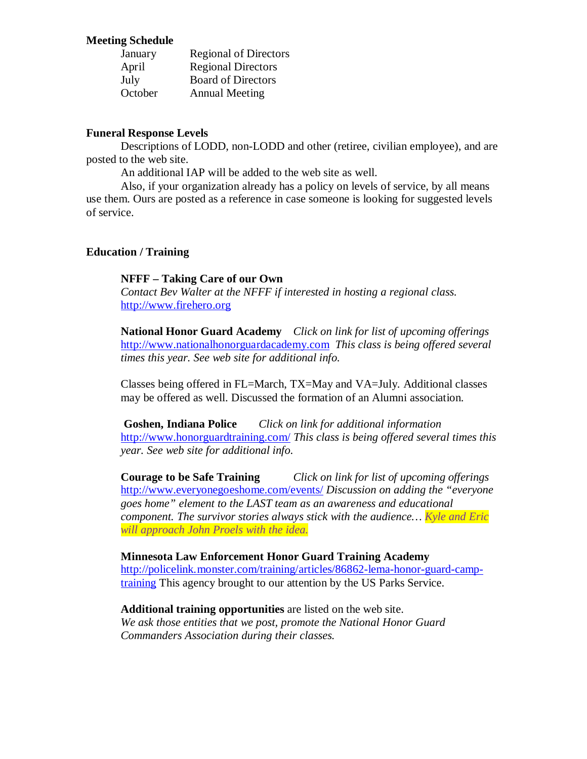## **Meeting Schedule**

| January | <b>Regional of Directors</b> |
|---------|------------------------------|
| April   | <b>Regional Directors</b>    |
| July    | <b>Board of Directors</b>    |
| October | <b>Annual Meeting</b>        |

## **Funeral Response Levels**

Descriptions of LODD, non-LODD and other (retiree, civilian employee), and are posted to the web site.

An additional IAP will be added to the web site as well.

Also, if your organization already has a policy on levels of service, by all means use them. Ours are posted as a reference in case someone is looking for suggested levels of service.

## **Education / Training**

## **NFFF – Taking Care of our Own**

*Contact Bev Walter at the NFFF if interested in hosting a regional class.* [http://www.firehero.org](http://www.firehero.org/)

**National Honor Guard Academy** *Click on link for list of upcoming offerings* [http://www.nationalhonorguardacademy.com](http://www.nationalhonorguardacademy.com/) *This class is being offered several times this year. See web site for additional info.*

Classes being offered in FL=March, TX=May and VA=July. Additional classes may be offered as well. Discussed the formation of an Alumni association.

**Goshen, Indiana Police** *Click on link for additional information* <http://www.honorguardtraining.com/> *This class is being offered several times this year. See web site for additional info.*

**Courage to be Safe Training** *Click on link for list of upcoming offerings* <http://www.everyonegoeshome.com/events/> *Discussion on adding the "everyone goes home" element to the LAST team as an awareness and educational component. The survivor stories always stick with the audience… Kyle and Eric will approach John Proels with the idea.*

**Minnesota Law Enforcement Honor Guard Training Academy** [http://policelink.monster.com/training/articles/86862-lema-honor-guard-camp](http://policelink.monster.com/training/articles/86862-lema-honor-guard-camp-training)[training](http://policelink.monster.com/training/articles/86862-lema-honor-guard-camp-training) This agency brought to our attention by the US Parks Service.

**Additional training opportunities** are listed on the web site. *We ask those entities that we post, promote the National Honor Guard Commanders Association during their classes.*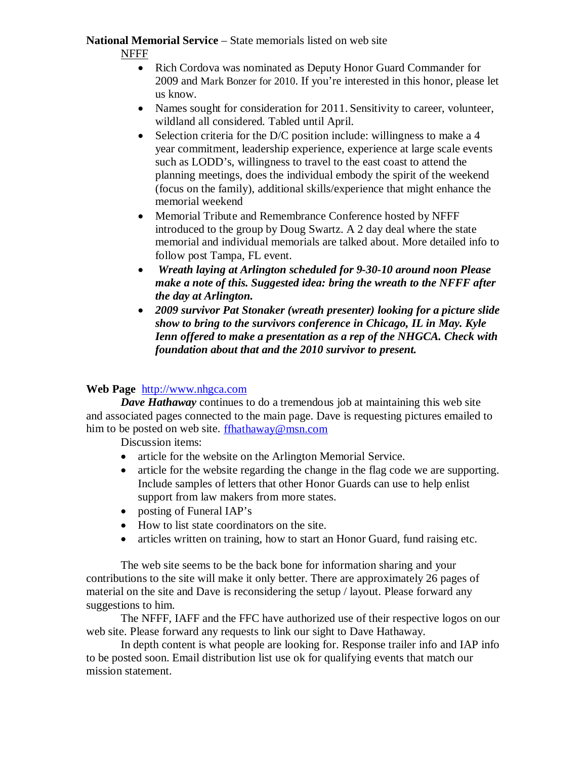# **National Memorial Service** – State memorials listed on web site

NFFF

- Rich Cordova was nominated as Deputy Honor Guard Commander for 2009 and Mark Bonzer for 2010. If you're interested in this honor, please let us know.
- Names sought for consideration for 2011. Sensitivity to career, volunteer, wildland all considered. Tabled until April.
- Selection criteria for the D/C position include: willingness to make a 4 year commitment, leadership experience, experience at large scale events such as LODD's, willingness to travel to the east coast to attend the planning meetings, does the individual embody the spirit of the weekend (focus on the family), additional skills/experience that might enhance the memorial weekend
- Memorial Tribute and Remembrance Conference hosted by NFFF introduced to the group by Doug Swartz. A 2 day deal where the state memorial and individual memorials are talked about. More detailed info to follow post Tampa, FL event.
- *Wreath laying at Arlington scheduled for 9-30-10 around noon Please make a note of this. Suggested idea: bring the wreath to the NFFF after the day at Arlington.*
- *2009 survivor Pat Stonaker (wreath presenter) looking for a picture slide show to bring to the survivors conference in Chicago, IL in May. Kyle Ienn offered to make a presentation as a rep of the NHGCA. Check with foundation about that and the 2010 survivor to present.*

# **Web Page** [http://www.nhgca.com](http://www.nhgca.com/)

*Dave Hathaway* continues to do a tremendous job at maintaining this web site and associated pages connected to the main page. Dave is requesting pictures emailed to him to be posted on web site. [ffhathaway@msn.com](mailto:ffhathaway@msn.com)

Discussion items:

- article for the website on the Arlington Memorial Service.
- article for the website regarding the change in the flag code we are supporting. Include samples of letters that other Honor Guards can use to help enlist support from law makers from more states.
- posting of Funeral IAP's
- How to list state coordinators on the site.
- articles written on training, how to start an Honor Guard, fund raising etc.

The web site seems to be the back bone for information sharing and your contributions to the site will make it only better. There are approximately 26 pages of material on the site and Dave is reconsidering the setup / layout. Please forward any suggestions to him.

The NFFF, IAFF and the FFC have authorized use of their respective logos on our web site. Please forward any requests to link our sight to Dave Hathaway.

In depth content is what people are looking for. Response trailer info and IAP info to be posted soon. Email distribution list use ok for qualifying events that match our mission statement.